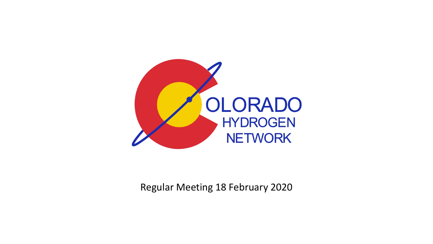

Regular Meeting 18 February 2020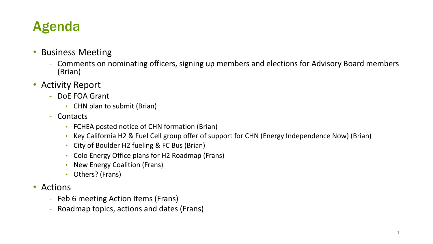# Agenda

- Business Meeting
	- Comments on nominating officers, signing up members and elections for Advisory Board members (Brian)
- Activity Report
	- DoE FOA Grant
		- CHN plan to submit (Brian)
	- Contacts
		- FCHEA posted notice of CHN formation (Brian)
		- Key California H2 & Fuel Cell group offer of support for CHN (Energy Independence Now) (Brian)
		- City of Boulder H2 fueling & FC Bus (Brian)
		- Colo Energy Office plans for H2 Roadmap (Frans)
		- New Energy Coalition (Frans)
		- Others? (Frans)
- Actions
	- Feb 6 meeting Action Items (Frans)
	- Roadmap topics, actions and dates (Frans)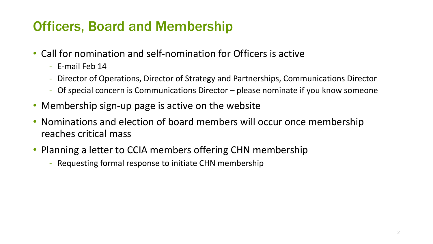# Officers, Board and Membership

- Call for nomination and self-nomination for Officers is active
	- E-mail Feb 14
	- Director of Operations, Director of Strategy and Partnerships, Communications Director
	- Of special concern is Communications Director please nominate if you know someone
- Membership sign-up page is active on the website
- Nominations and election of board members will occur once membership reaches critical mass
- Planning a letter to CCIA members offering CHN membership
	- Requesting formal response to initiate CHN membership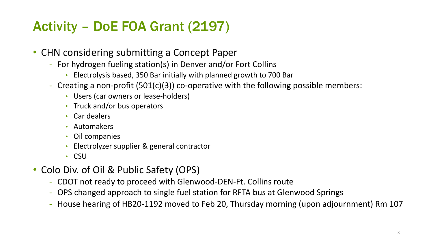# Activity – DoE FOA Grant (2197)

- CHN considering submitting a Concept Paper
	- For hydrogen fueling station(s) in Denver and/or Fort Collins
		- Electrolysis based, 350 Bar initially with planned growth to 700 Bar
	- Creating a non-profit (501(c)(3)) co-operative with the following possible members:
		- Users (car owners or lease-holders)
		- Truck and/or bus operators
		- Car dealers
		- Automakers
		- Oil companies
		- Electrolyzer supplier & general contractor
		- CSU
- Colo Div. of Oil & Public Safety (OPS)
	- CDOT not ready to proceed with Glenwood-DEN-Ft. Collins route
	- OPS changed approach to single fuel station for RFTA bus at Glenwood Springs
	- House hearing of HB20-1192 moved to Feb 20, Thursday morning (upon adjournment) Rm 107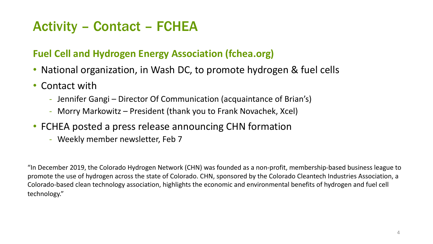# Activity – Contact – FCHEA

### **Fuel Cell and Hydrogen Energy Association (fchea.org)**

- National organization, in Wash DC, to promote hydrogen & fuel cells
- Contact with
	- Jennifer Gangi Director Of Communication (acquaintance of Brian's)
	- Morry Markowitz President (thank you to Frank Novachek, Xcel)
- FCHEA posted a press release announcing CHN formation
	- Weekly member newsletter, Feb 7

"In December 2019, the Colorado Hydrogen Network (CHN) was founded as a non-profit, membership-based business league to promote the use of hydrogen across the state of Colorado. CHN, sponsored by the Colorado Cleantech Industries Association, a Colorado-based clean technology association, highlights the economic and environmental benefits of hydrogen and fuel cell technology."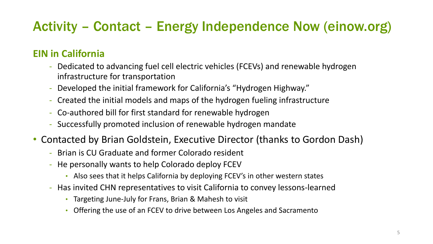# Activity – Contact – Energy Independence Now (einow.org)

### **EIN in California**

- Dedicated to advancing fuel cell electric vehicles (FCEVs) and renewable hydrogen infrastructure for transportation
- Developed the initial framework for California's "Hydrogen Highway."
- Created the initial models and maps of the hydrogen fueling infrastructure
- Co-authored bill for first standard for renewable hydrogen
- Successfully promoted inclusion of renewable hydrogen mandate
- Contacted by Brian Goldstein, Executive Director (thanks to Gordon Dash)
	- Brian is CU Graduate and former Colorado resident
	- He personally wants to help Colorado deploy FCEV
		- Also sees that it helps California by deploying FCEV's in other western states
	- Has invited CHN representatives to visit California to convey lessons-learned
		- Targeting June-July for Frans, Brian & Mahesh to visit
		- Offering the use of an FCEV to drive between Los Angeles and Sacramento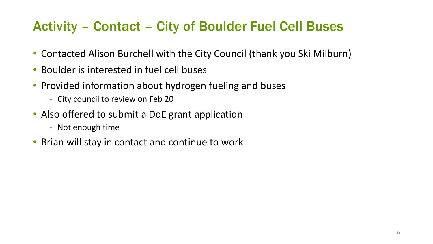# Activity – Contact – City of Boulder Fuel Cell Buses

- Contacted Alison Burchell with the City Council (thank you Ski Milburn)
- Boulder is interested in fuel cell buses
- Provided information about hydrogen fueling and buses
	- City council to review on Feb 20
- Also offered to submit a DoE grant application
	- Not enough time
- Brian will stay in contact and continue to work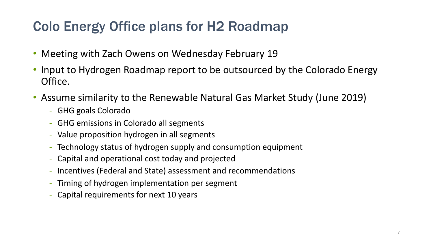# Colo Energy Office plans for H2 Roadmap

- Meeting with Zach Owens on Wednesday February 19
- Input to Hydrogen Roadmap report to be outsourced by the Colorado Energy Office.
- Assume similarity to the Renewable Natural Gas Market Study (June 2019)
	- GHG goals Colorado
	- GHG emissions in Colorado all segments
	- Value proposition hydrogen in all segments
	- Technology status of hydrogen supply and consumption equipment
	- Capital and operational cost today and projected
	- Incentives (Federal and State) assessment and recommendations
	- Timing of hydrogen implementation per segment
	- Capital requirements for next 10 years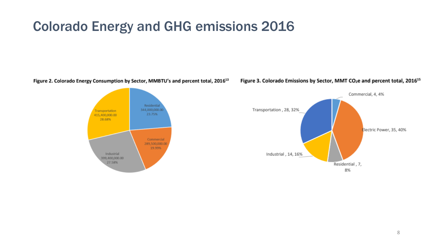### Colorado Energy and GHG emissions 2016

Figure 2. Colorado Energy Consumption by Sector, MMBTU's and percent total, 2016<sup>13</sup>



Figure 3. Colorado Emissions by Sector, MMT CO<sub>2</sub>e and percent total, 2016<sup>15</sup>

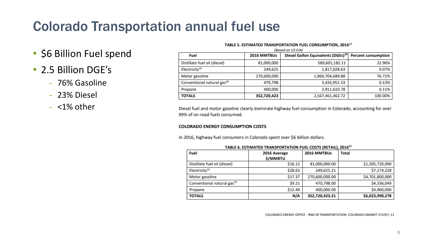# Colorado Transportation annual fuel use

- \$6 Billion Fuel spend
- 2.5 Billion DGE's
	- 76% Gasoline
	- 23% Diesel
	- <1% other

| TABLE 5. ESTIMATED TRANSPORTATION FUEL CONSUMPTION, 2016 <sup>17</sup> |             |                                                |                            |  |  |  |
|------------------------------------------------------------------------|-------------|------------------------------------------------|----------------------------|--|--|--|
| (Based on US EIA)                                                      |             |                                                |                            |  |  |  |
| Fuel                                                                   | 2016 MMTBUs | Diesel Gallon Equivalents (DGEs) <sup>18</sup> | <b>Percent consumption</b> |  |  |  |
| Distillate fuel oil (diesel)                                           | 81,000,000  | 589,601,182.11                                 | 22.96%                     |  |  |  |
| Electricity <sup>19</sup>                                              | 249,625     | 1,817,028.63                                   | 0.07%                      |  |  |  |
| Motor gasoline                                                         | 270,600,000 | 1,969,704,689.88                               | 76.72%                     |  |  |  |
| Conventional natural gas <sup>20</sup>                                 | 470,798     | 3,426,951.33                                   | 0.13%                      |  |  |  |
| Propane                                                                | 400,000     | 2,911,610.78                                   | 0.11%                      |  |  |  |
| <b>TOTALS</b>                                                          | 352,720,423 | 2,567,461,462.72                               | 100.00%                    |  |  |  |

Diesel fuel and motor gasoline clearly dominate highway fuel consumption in Colorado, accounting for over 99% of on-road fuels consumed.

#### **COLORADO ENERGY CONSUMPTION COSTS**

In 2016, highway fuel consumers in Colorado spent over \$6 billion dollars.

| <b>INDEE 0. ESTIMATED TRAINSPORTATION POLE COSTS (RETAIL), 2010</b> |                |                |                 |  |  |
|---------------------------------------------------------------------|----------------|----------------|-----------------|--|--|
| Fuel                                                                | 2016 Average   | 2016 MMTBUs    | Total           |  |  |
|                                                                     | <b>S/MMBTU</b> |                |                 |  |  |
| Distillate fuel oil (diesel)                                        | \$16.12        | 81,000,000.00  | \$1,305,720,000 |  |  |
| Electricity <sup>22</sup>                                           | \$28.63        | 249,625.21     | \$7,174,228     |  |  |
| Motor gasoline                                                      | \$17.37        | 270,600,000.00 | \$4,701,800,000 |  |  |
| Conventional natural gas <sup>23</sup>                              | \$9.21         | 470,798.00     | \$4,336,049     |  |  |
| Propane                                                             | \$12.40        | 400,000.00     | \$4,960,000     |  |  |
| <b>TOTALS</b>                                                       | N/A            | 352,720,423.21 | \$6,023,990,278 |  |  |

| TABLE 6. ESTIMATED TRANSPORTATION FUEL COSTS (RETAIL), 2016 <sup>21</sup> |  |
|---------------------------------------------------------------------------|--|
|---------------------------------------------------------------------------|--|

COLORADO ENERGY OFFICE - RNG IN TRANSPORTATION: COLORADO MARKET STUDY | 11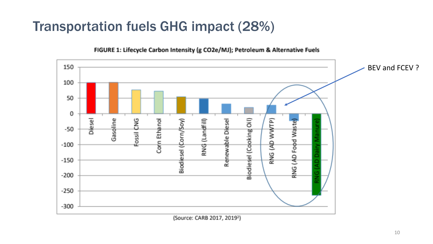## Transportation fuels GHG impact (28%)



#### FIGURE 1: Lifecycle Carbon Intensity (g CO2e/MJ); Petroleum & Alternative Fuels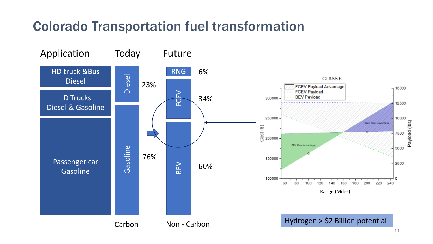# Colorado Transportation fuel transformation

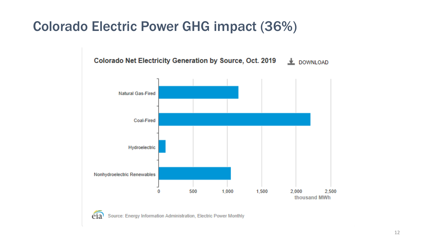## Colorado Electric Power GHG impact (36%)



eia Source: Energy Information Administration, Electric Power Monthly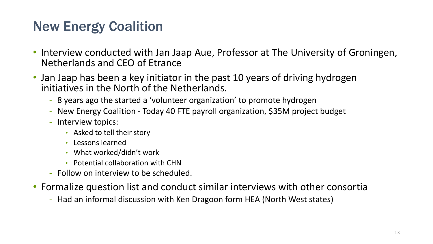# New Energy Coalition

- Interview conducted with Jan Jaap Aue, Professor at The University of Groningen, Netherlands and CEO of Etrance
- Jan Jaap has been a key initiator in the past 10 years of driving hydrogen initiatives in the North of the Netherlands.
	- 8 years ago the started a 'volunteer organization' to promote hydrogen
	- New Energy Coalition Today 40 FTE payroll organization, \$35M project budget
	- Interview topics:
		- Asked to tell their story
		- Lessons learned
		- What worked/didn't work
		- Potential collaboration with CHN
	- Follow on interview to be scheduled.
- Formalize question list and conduct similar interviews with other consortia
	- Had an informal discussion with Ken Dragoon form HEA (North West states)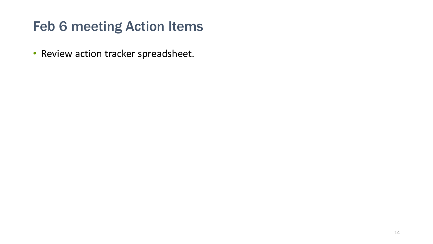# Feb 6 meeting Action Items

• Review action tracker spreadsheet.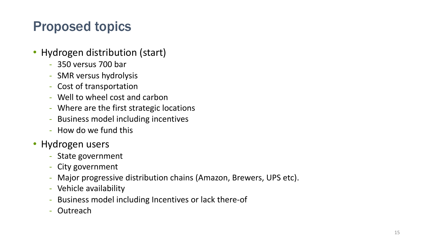# Proposed topics

- Hydrogen distribution (start)
	- 350 versus 700 bar
	- SMR versus hydrolysis
	- Cost of transportation
	- Well to wheel cost and carbon
	- Where are the first strategic locations
	- Business model including incentives
	- How do we fund this
- Hydrogen users
	- State government
	- City government
	- Major progressive distribution chains (Amazon, Brewers, UPS etc).
	- Vehicle availability
	- Business model including Incentives or lack there-of
	- Outreach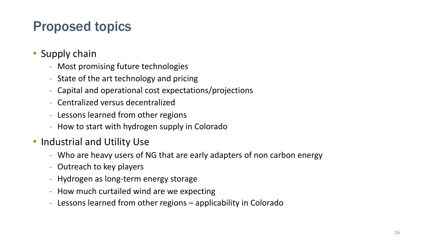# Proposed topics

- Supply chain
	- Most promising future technologies
	- State of the art technology and pricing
	- Capital and operational cost expectations/projections
	- Centralized versus decentralized
	- Lessons learned from other regions
	- How to start with hydrogen supply in Colorado
- Industrial and Utility Use
	- Who are heavy users of NG that are early adapters of non carbon energy
	- Outreach to key players
	- Hydrogen as long-term energy storage
	- How much curtailed wind are we expecting
	- Lessons learned from other regions applicability in Colorado